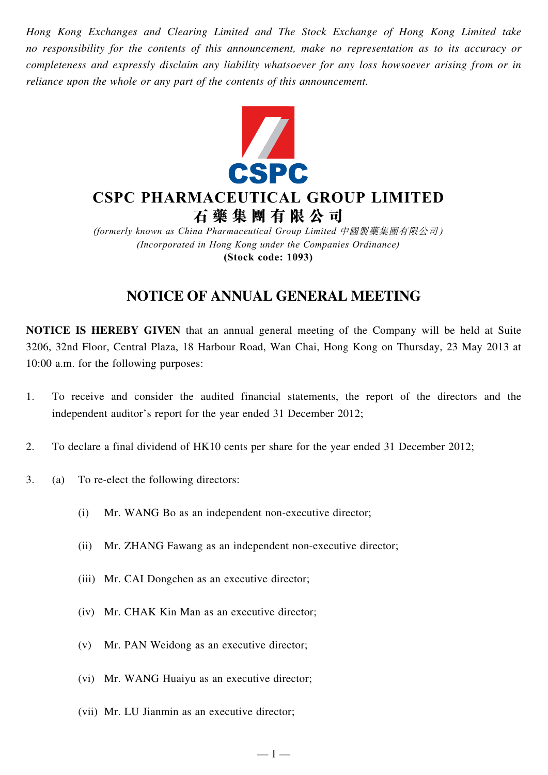*Hong Kong Exchanges and Clearing Limited and The Stock Exchange of Hong Kong Limited take no responsibility for the contents of this announcement, make no representation as to its accuracy or completeness and expressly disclaim any liability whatsoever for any loss howsoever arising from or in reliance upon the whole or any part of the contents of this announcement.*



# **CSPC PHARMACEUTICAL GROUP LIMITED 石 藥 集 團 有 限 公 司**

*(formerly known as China Pharmaceutical Group Limited* 中國製藥集團有限公司 *) (Incorporated in Hong Kong under the Companies Ordinance)* **(Stock code: 1093)**

## **Notice of Annual General Meeting**

**NOTICE IS HEREBY GIVEN** that an annual general meeting of the Company will be held at Suite 3206, 32nd Floor, Central Plaza, 18 Harbour Road, Wan Chai, Hong Kong on Thursday, 23 May 2013 at 10:00 a.m. for the following purposes:

1. To receive and consider the audited financial statements, the report of the directors and the independent auditor's report for the year ended 31 December 2012;

 $-1-$ 

- 2. To declare a final dividend of HK10 cents per share for the year ended 31 December 2012;
- 3. (a) To re-elect the following directors:
	- (i) Mr. WANG Bo as an independent non-executive director;
	- (ii) Mr. ZHANG Fawang as an independent non-executive director;
	- (iii) Mr. CAI Dongchen as an executive director;
	- (iv) Mr. CHAK Kin Man as an executive director;
	- (v) Mr. PAN Weidong as an executive director;
	- (vi) Mr. WANG Huaiyu as an executive director;
	- (vii) Mr. LU Jianmin as an executive director;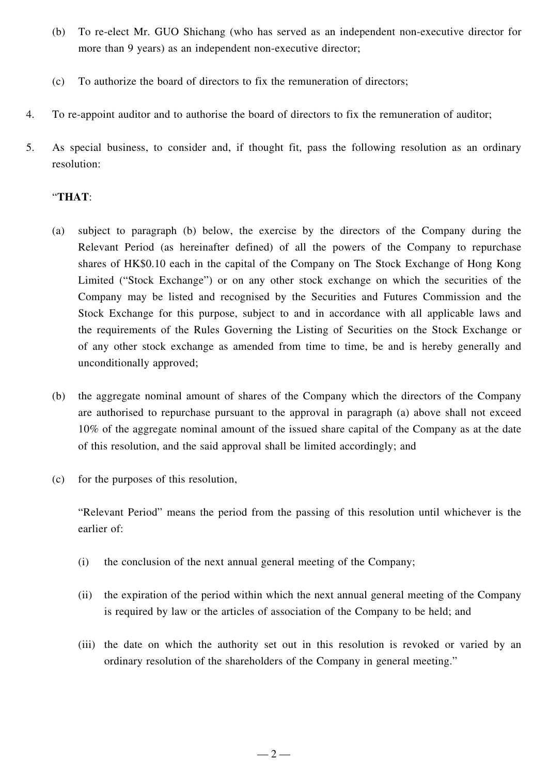- (b) To re-elect Mr. GUO Shichang (who has served as an independent non-executive director for more than 9 years) as an independent non-executive director;
- (c) To authorize the board of directors to fix the remuneration of directors;
- 4. To re-appoint auditor and to authorise the board of directors to fix the remuneration of auditor;
- 5. As special business, to consider and, if thought fit, pass the following resolution as an ordinary resolution:

### "**THAT**:

- (a) subject to paragraph (b) below, the exercise by the directors of the Company during the Relevant Period (as hereinafter defined) of all the powers of the Company to repurchase shares of HK\$0.10 each in the capital of the Company on The Stock Exchange of Hong Kong Limited ("Stock Exchange") or on any other stock exchange on which the securities of the Company may be listed and recognised by the Securities and Futures Commission and the Stock Exchange for this purpose, subject to and in accordance with all applicable laws and the requirements of the Rules Governing the Listing of Securities on the Stock Exchange or of any other stock exchange as amended from time to time, be and is hereby generally and unconditionally approved;
- (b) the aggregate nominal amount of shares of the Company which the directors of the Company are authorised to repurchase pursuant to the approval in paragraph (a) above shall not exceed 10% of the aggregate nominal amount of the issued share capital of the Company as at the date of this resolution, and the said approval shall be limited accordingly; and
- (c) for the purposes of this resolution,

"Relevant Period" means the period from the passing of this resolution until whichever is the earlier of:

- (i) the conclusion of the next annual general meeting of the Company;
- (ii) the expiration of the period within which the next annual general meeting of the Company is required by law or the articles of association of the Company to be held; and
- (iii) the date on which the authority set out in this resolution is revoked or varied by an ordinary resolution of the shareholders of the Company in general meeting."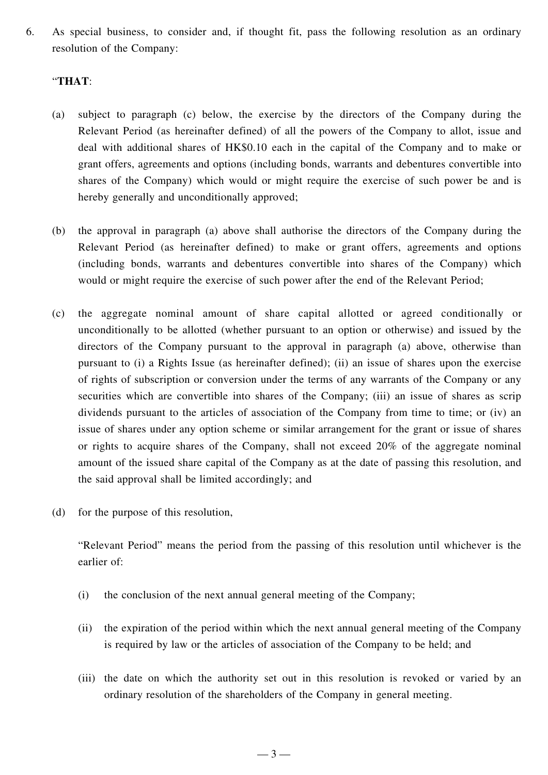6. As special business, to consider and, if thought fit, pass the following resolution as an ordinary resolution of the Company:

#### "**THAT**:

- (a) subject to paragraph (c) below, the exercise by the directors of the Company during the Relevant Period (as hereinafter defined) of all the powers of the Company to allot, issue and deal with additional shares of HK\$0.10 each in the capital of the Company and to make or grant offers, agreements and options (including bonds, warrants and debentures convertible into shares of the Company) which would or might require the exercise of such power be and is hereby generally and unconditionally approved;
- (b) the approval in paragraph (a) above shall authorise the directors of the Company during the Relevant Period (as hereinafter defined) to make or grant offers, agreements and options (including bonds, warrants and debentures convertible into shares of the Company) which would or might require the exercise of such power after the end of the Relevant Period;
- (c) the aggregate nominal amount of share capital allotted or agreed conditionally or unconditionally to be allotted (whether pursuant to an option or otherwise) and issued by the directors of the Company pursuant to the approval in paragraph (a) above, otherwise than pursuant to (i) a Rights Issue (as hereinafter defined); (ii) an issue of shares upon the exercise of rights of subscription or conversion under the terms of any warrants of the Company or any securities which are convertible into shares of the Company; (iii) an issue of shares as scrip dividends pursuant to the articles of association of the Company from time to time; or (iv) an issue of shares under any option scheme or similar arrangement for the grant or issue of shares or rights to acquire shares of the Company, shall not exceed 20% of the aggregate nominal amount of the issued share capital of the Company as at the date of passing this resolution, and the said approval shall be limited accordingly; and
- (d) for the purpose of this resolution,

"Relevant Period" means the period from the passing of this resolution until whichever is the earlier of:

- (i) the conclusion of the next annual general meeting of the Company;
- (ii) the expiration of the period within which the next annual general meeting of the Company is required by law or the articles of association of the Company to be held; and
- (iii) the date on which the authority set out in this resolution is revoked or varied by an ordinary resolution of the shareholders of the Company in general meeting.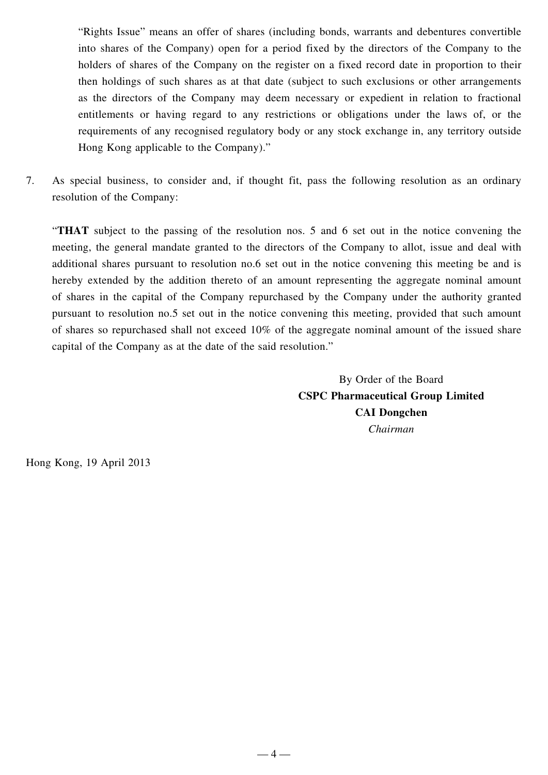"Rights Issue" means an offer of shares (including bonds, warrants and debentures convertible into shares of the Company) open for a period fixed by the directors of the Company to the holders of shares of the Company on the register on a fixed record date in proportion to their then holdings of such shares as at that date (subject to such exclusions or other arrangements as the directors of the Company may deem necessary or expedient in relation to fractional entitlements or having regard to any restrictions or obligations under the laws of, or the requirements of any recognised regulatory body or any stock exchange in, any territory outside Hong Kong applicable to the Company)."

7. As special business, to consider and, if thought fit, pass the following resolution as an ordinary resolution of the Company:

"**THAT** subject to the passing of the resolution nos. 5 and 6 set out in the notice convening the meeting, the general mandate granted to the directors of the Company to allot, issue and deal with additional shares pursuant to resolution no.6 set out in the notice convening this meeting be and is hereby extended by the addition thereto of an amount representing the aggregate nominal amount of shares in the capital of the Company repurchased by the Company under the authority granted pursuant to resolution no.5 set out in the notice convening this meeting, provided that such amount of shares so repurchased shall not exceed 10% of the aggregate nominal amount of the issued share capital of the Company as at the date of the said resolution."

> By Order of the Board **CSPC Pharmaceutical Group Limited CAI Dongchen** *Chairman*

Hong Kong, 19 April 2013